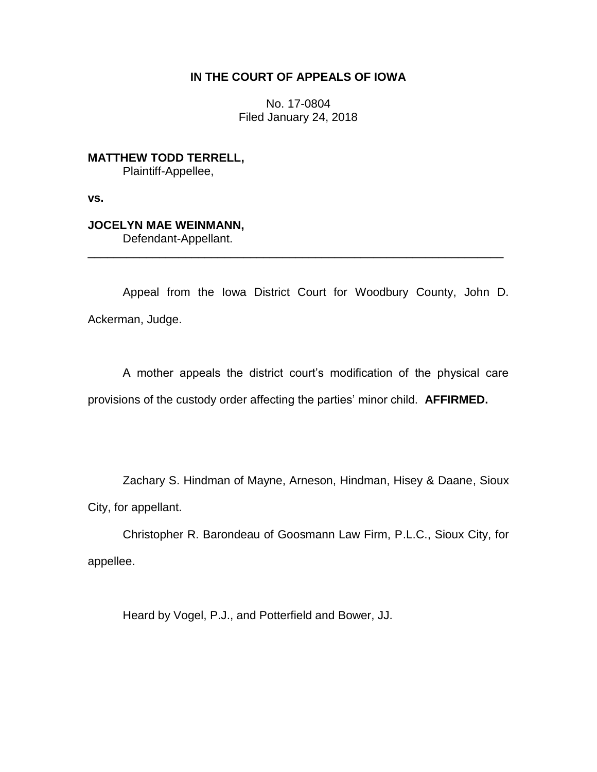## **IN THE COURT OF APPEALS OF IOWA**

No. 17-0804 Filed January 24, 2018

**MATTHEW TODD TERRELL,** Plaintiff-Appellee,

**vs.**

## **JOCELYN MAE WEINMANN,**

Defendant-Appellant.

Appeal from the Iowa District Court for Woodbury County, John D. Ackerman, Judge.

\_\_\_\_\_\_\_\_\_\_\_\_\_\_\_\_\_\_\_\_\_\_\_\_\_\_\_\_\_\_\_\_\_\_\_\_\_\_\_\_\_\_\_\_\_\_\_\_\_\_\_\_\_\_\_\_\_\_\_\_\_\_\_\_

A mother appeals the district court's modification of the physical care provisions of the custody order affecting the parties' minor child. **AFFIRMED.**

Zachary S. Hindman of Mayne, Arneson, Hindman, Hisey & Daane, Sioux City, for appellant.

Christopher R. Barondeau of Goosmann Law Firm, P.L.C., Sioux City, for appellee.

Heard by Vogel, P.J., and Potterfield and Bower, JJ.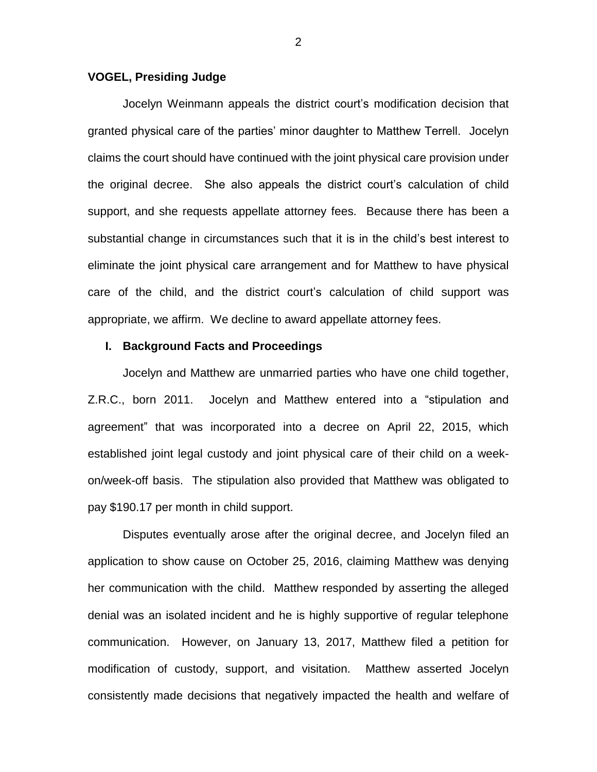### **VOGEL, Presiding Judge**

Jocelyn Weinmann appeals the district court's modification decision that granted physical care of the parties' minor daughter to Matthew Terrell. Jocelyn claims the court should have continued with the joint physical care provision under the original decree. She also appeals the district court's calculation of child support, and she requests appellate attorney fees. Because there has been a substantial change in circumstances such that it is in the child's best interest to eliminate the joint physical care arrangement and for Matthew to have physical care of the child, and the district court's calculation of child support was appropriate, we affirm. We decline to award appellate attorney fees.

#### **I. Background Facts and Proceedings**

Jocelyn and Matthew are unmarried parties who have one child together, Z.R.C., born 2011. Jocelyn and Matthew entered into a "stipulation and agreement" that was incorporated into a decree on April 22, 2015, which established joint legal custody and joint physical care of their child on a weekon/week-off basis. The stipulation also provided that Matthew was obligated to pay \$190.17 per month in child support.

Disputes eventually arose after the original decree, and Jocelyn filed an application to show cause on October 25, 2016, claiming Matthew was denying her communication with the child. Matthew responded by asserting the alleged denial was an isolated incident and he is highly supportive of regular telephone communication. However, on January 13, 2017, Matthew filed a petition for modification of custody, support, and visitation. Matthew asserted Jocelyn consistently made decisions that negatively impacted the health and welfare of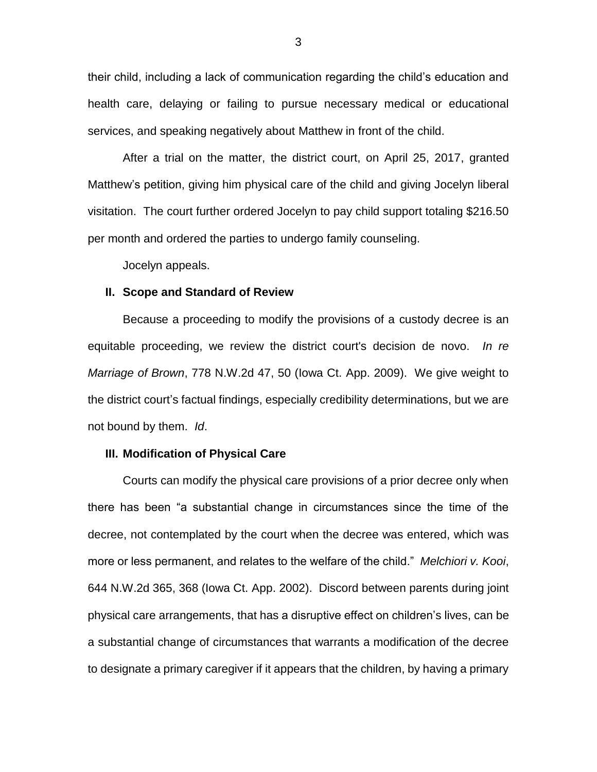their child, including a lack of communication regarding the child's education and health care, delaying or failing to pursue necessary medical or educational services, and speaking negatively about Matthew in front of the child.

After a trial on the matter, the district court, on April 25, 2017, granted Matthew's petition, giving him physical care of the child and giving Jocelyn liberal visitation. The court further ordered Jocelyn to pay child support totaling \$216.50 per month and ordered the parties to undergo family counseling.

Jocelyn appeals.

#### **II. Scope and Standard of Review**

Because a proceeding to modify the provisions of a custody decree is an equitable proceeding, we review the district court's decision de novo. *In re Marriage of Brown*, 778 N.W.2d 47, 50 (Iowa Ct. App. 2009). We give weight to the district court's factual findings, especially credibility determinations, but we are not bound by them. *Id*.

#### **III. Modification of Physical Care**

Courts can modify the physical care provisions of a prior decree only when there has been "a substantial change in circumstances since the time of the decree, not contemplated by the court when the decree was entered, which was more or less permanent, and relates to the welfare of the child." *Melchiori v. Kooi*, 644 N.W.2d 365, 368 (Iowa Ct. App. 2002). Discord between parents during joint physical care arrangements, that has a disruptive effect on children's lives, can be a substantial change of circumstances that warrants a modification of the decree to designate a primary caregiver if it appears that the children, by having a primary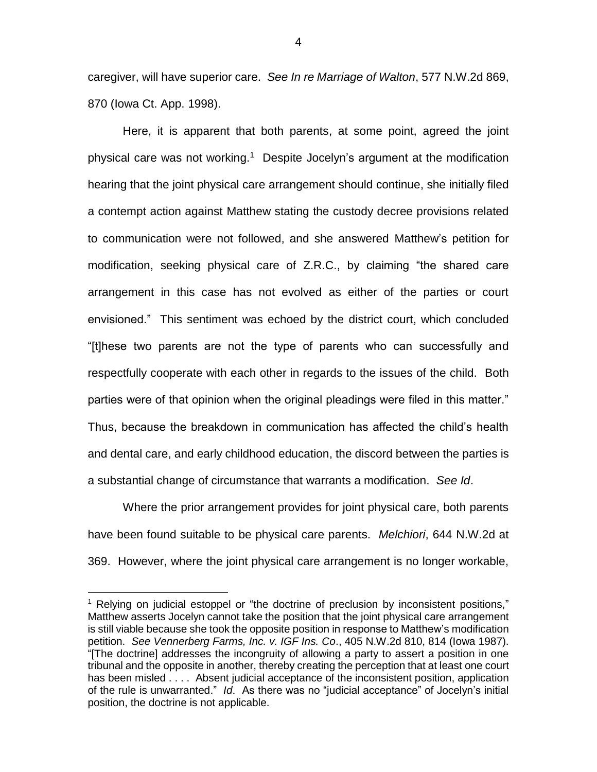caregiver, will have superior care. *See In re Marriage of Walton*, 577 N.W.2d 869, 870 (Iowa Ct. App. 1998).

Here, it is apparent that both parents, at some point, agreed the joint physical care was not working.<sup>1</sup> Despite Jocelyn's argument at the modification hearing that the joint physical care arrangement should continue, she initially filed a contempt action against Matthew stating the custody decree provisions related to communication were not followed, and she answered Matthew's petition for modification, seeking physical care of Z.R.C., by claiming "the shared care arrangement in this case has not evolved as either of the parties or court envisioned." This sentiment was echoed by the district court, which concluded "[t]hese two parents are not the type of parents who can successfully and respectfully cooperate with each other in regards to the issues of the child. Both parties were of that opinion when the original pleadings were filed in this matter." Thus, because the breakdown in communication has affected the child's health and dental care, and early childhood education, the discord between the parties is a substantial change of circumstance that warrants a modification. *See Id*.

Where the prior arrangement provides for joint physical care, both parents have been found suitable to be physical care parents. *Melchiori*, 644 N.W.2d at 369. However, where the joint physical care arrangement is no longer workable,

 $\overline{a}$ 

<sup>&</sup>lt;sup>1</sup> Relying on judicial estoppel or "the doctrine of preclusion by inconsistent positions," Matthew asserts Jocelyn cannot take the position that the joint physical care arrangement is still viable because she took the opposite position in response to Matthew's modification petition. *See Vennerberg Farms, Inc. v. IGF Ins. Co*., 405 N.W.2d 810, 814 (Iowa 1987). "[The doctrine] addresses the incongruity of allowing a party to assert a position in one tribunal and the opposite in another, thereby creating the perception that at least one court has been misled . . . . Absent judicial acceptance of the inconsistent position, application of the rule is unwarranted." *Id*. As there was no "judicial acceptance" of Jocelyn's initial position, the doctrine is not applicable.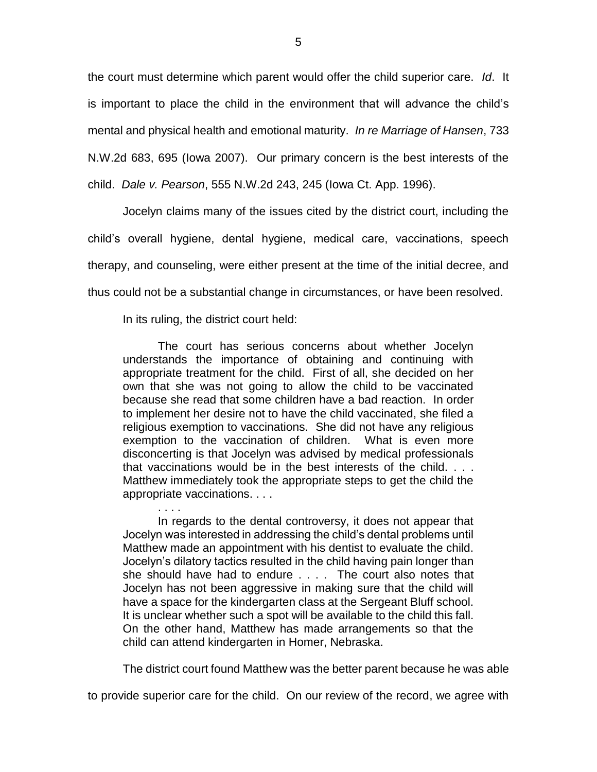the court must determine which parent would offer the child superior care. *Id*. It is important to place the child in the environment that will advance the child's mental and physical health and emotional maturity. *In re Marriage of Hansen*, 733 N.W.2d 683, 695 (Iowa 2007). Our primary concern is the best interests of the child. *Dale v. Pearson*, 555 N.W.2d 243, 245 (Iowa Ct. App. 1996).

Jocelyn claims many of the issues cited by the district court, including the child's overall hygiene, dental hygiene, medical care, vaccinations, speech therapy, and counseling, were either present at the time of the initial decree, and thus could not be a substantial change in circumstances, or have been resolved.

In its ruling, the district court held:

The court has serious concerns about whether Jocelyn understands the importance of obtaining and continuing with appropriate treatment for the child. First of all, she decided on her own that she was not going to allow the child to be vaccinated because she read that some children have a bad reaction. In order to implement her desire not to have the child vaccinated, she filed a religious exemption to vaccinations. She did not have any religious exemption to the vaccination of children. What is even more disconcerting is that Jocelyn was advised by medical professionals that vaccinations would be in the best interests of the child. . . . Matthew immediately took the appropriate steps to get the child the appropriate vaccinations. . . .

. . . . In regards to the dental controversy, it does not appear that Jocelyn was interested in addressing the child's dental problems until Matthew made an appointment with his dentist to evaluate the child. Jocelyn's dilatory tactics resulted in the child having pain longer than she should have had to endure . . . . The court also notes that Jocelyn has not been aggressive in making sure that the child will have a space for the kindergarten class at the Sergeant Bluff school. It is unclear whether such a spot will be available to the child this fall. On the other hand, Matthew has made arrangements so that the child can attend kindergarten in Homer, Nebraska.

The district court found Matthew was the better parent because he was able

to provide superior care for the child. On our review of the record, we agree with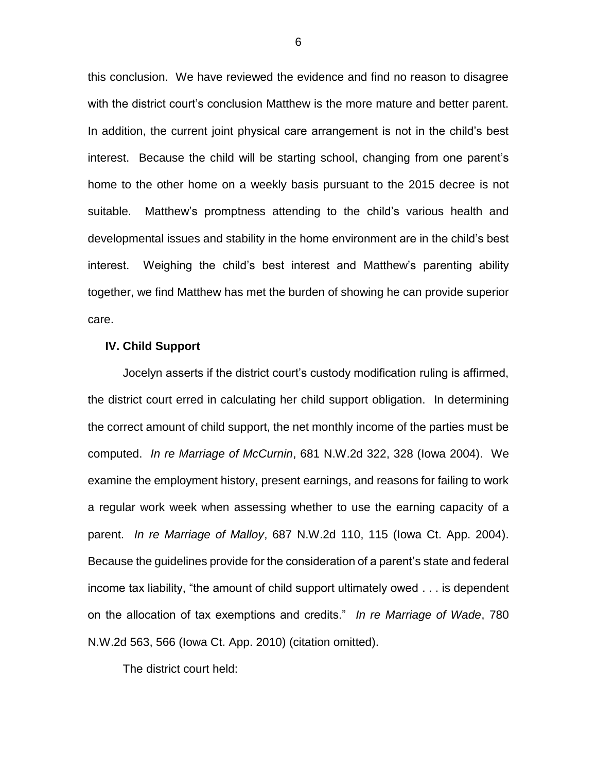this conclusion. We have reviewed the evidence and find no reason to disagree with the district court's conclusion Matthew is the more mature and better parent. In addition, the current joint physical care arrangement is not in the child's best interest. Because the child will be starting school, changing from one parent's home to the other home on a weekly basis pursuant to the 2015 decree is not suitable. Matthew's promptness attending to the child's various health and developmental issues and stability in the home environment are in the child's best interest. Weighing the child's best interest and Matthew's parenting ability together, we find Matthew has met the burden of showing he can provide superior care.

#### **IV. Child Support**

Jocelyn asserts if the district court's custody modification ruling is affirmed, the district court erred in calculating her child support obligation. In determining the correct amount of child support, the net monthly income of the parties must be computed. *In re Marriage of McCurnin*, 681 N.W.2d 322, 328 (Iowa 2004). We examine the employment history, present earnings, and reasons for failing to work a regular work week when assessing whether to use the earning capacity of a parent. *In re Marriage of Malloy*, 687 N.W.2d 110, 115 (Iowa Ct. App. 2004). Because the guidelines provide for the consideration of a parent's state and federal income tax liability, "the amount of child support ultimately owed . . . is dependent on the allocation of tax exemptions and credits." *In re Marriage of Wade*, 780 N.W.2d 563, 566 (Iowa Ct. App. 2010) (citation omitted).

The district court held: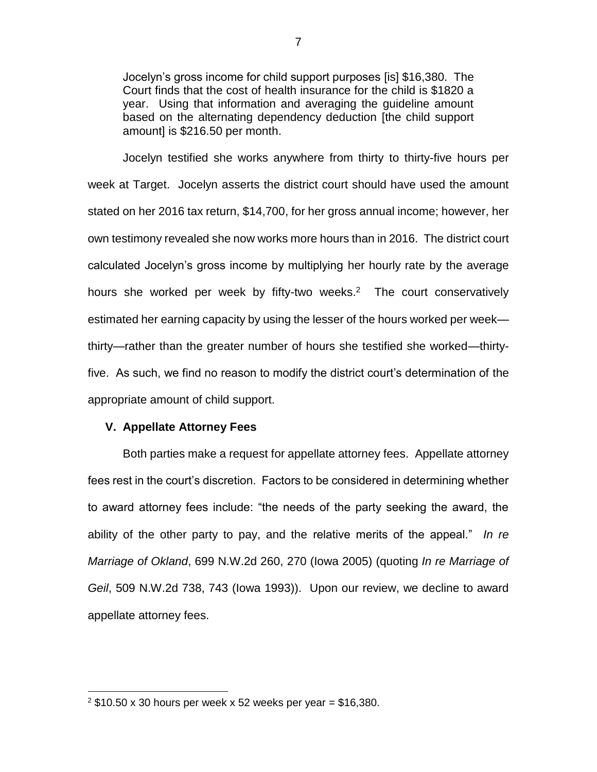Jocelyn's gross income for child support purposes [is] \$16,380. The Court finds that the cost of health insurance for the child is \$1820 a year. Using that information and averaging the guideline amount based on the alternating dependency deduction [the child support amount] is \$216.50 per month.

Jocelyn testified she works anywhere from thirty to thirty-five hours per week at Target. Jocelyn asserts the district court should have used the amount stated on her 2016 tax return, \$14,700, for her gross annual income; however, her own testimony revealed she now works more hours than in 2016. The district court calculated Jocelyn's gross income by multiplying her hourly rate by the average hours she worked per week by fifty-two weeks.<sup>2</sup> The court conservatively estimated her earning capacity by using the lesser of the hours worked per week thirty—rather than the greater number of hours she testified she worked—thirtyfive. As such, we find no reason to modify the district court's determination of the appropriate amount of child support.

### **V. Appellate Attorney Fees**

 $\overline{a}$ 

Both parties make a request for appellate attorney fees. Appellate attorney fees rest in the court's discretion. Factors to be considered in determining whether to award attorney fees include: "the needs of the party seeking the award, the ability of the other party to pay, and the relative merits of the appeal." *In re Marriage of Okland*, 699 N.W.2d 260, 270 (Iowa 2005) (quoting *In re Marriage of Geil*, 509 N.W.2d 738, 743 (Iowa 1993)). Upon our review, we decline to award appellate attorney fees.

 $2$  \$10.50 x 30 hours per week x 52 weeks per year = \$16,380.